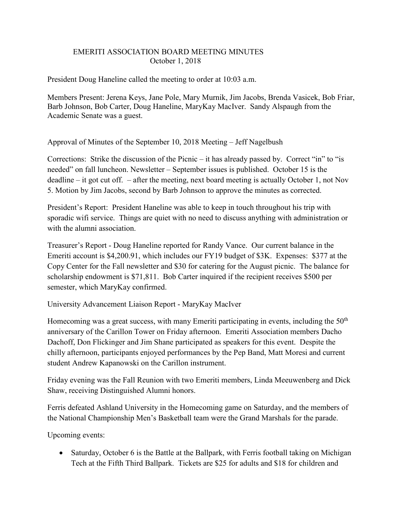## EMERITI ASSOCIATION BOARD MEETING MINUTES October 1, 2018

President Doug Haneline called the meeting to order at 10:03 a.m.

Members Present: Jerena Keys, Jane Pole, Mary Murnik, Jim Jacobs, Brenda Vasicek, Bob Friar, Barb Johnson, Bob Carter, Doug Haneline, MaryKay MacIver. Sandy Alspaugh from the Academic Senate was a guest.

Approval of Minutes of the September 10, 2018 Meeting – Jeff Nagelbush

Corrections: Strike the discussion of the Picnic – it has already passed by. Correct "in" to "is needed" on fall luncheon. Newsletter – September issues is published. October 15 is the deadline – it got cut off. – after the meeting, next board meeting is actually October 1, not Nov 5. Motion by Jim Jacobs, second by Barb Johnson to approve the minutes as corrected.

President's Report: President Haneline was able to keep in touch throughout his trip with sporadic wifi service. Things are quiet with no need to discuss anything with administration or with the alumni association.

Treasurer's Report - Doug Haneline reported for Randy Vance. Our current balance in the Emeriti account is \$4,200.91, which includes our FY19 budget of \$3K. Expenses: \$377 at the Copy Center for the Fall newsletter and \$30 for catering for the August picnic. The balance for scholarship endowment is \$71,811. Bob Carter inquired if the recipient receives \$500 per semester, which MaryKay confirmed.

University Advancement Liaison Report - MaryKay MacIver

Homecoming was a great success, with many Emeriti participating in events, including the  $50<sup>th</sup>$ anniversary of the Carillon Tower on Friday afternoon. Emeriti Association members Dacho Dachoff, Don Flickinger and Jim Shane participated as speakers for this event. Despite the chilly afternoon, participants enjoyed performances by the Pep Band, Matt Moresi and current student Andrew Kapanowski on the Carillon instrument.

Friday evening was the Fall Reunion with two Emeriti members, Linda Meeuwenberg and Dick Shaw, receiving Distinguished Alumni honors.

Ferris defeated Ashland University in the Homecoming game on Saturday, and the members of the National Championship Men's Basketball team were the Grand Marshals for the parade.

Upcoming events:

• Saturday, October 6 is the Battle at the Ballpark, with Ferris football taking on Michigan Tech at the Fifth Third Ballpark. Tickets are \$25 for adults and \$18 for children and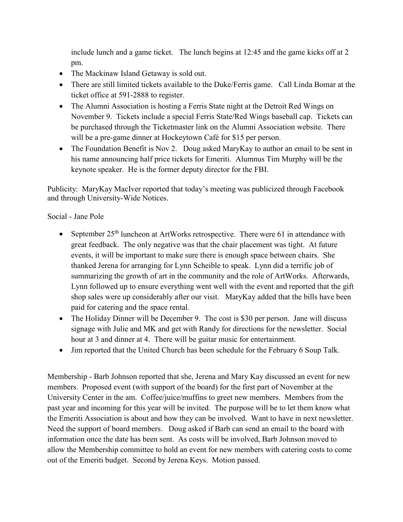include lunch and a game ticket. The lunch begins at 12:45 and the game kicks off at 2 pm.

- The Mackinaw Island Getaway is sold out.
- There are still limited tickets available to the Duke/Ferris game. Call Linda Bomar at the ticket office at 591-2888 to register.
- The Alumni Association is hosting a Ferris State night at the Detroit Red Wings on November 9. Tickets include a special Ferris State/Red Wings baseball cap. Tickets can be purchased through the Ticketmaster link on the Alumni Association website. There will be a pre-game dinner at Hockeytown Café for \$15 per person.
- The Foundation Benefit is Nov 2. Doug asked MaryKay to author an email to be sent in his name announcing half price tickets for Emeriti. Alumnus Tim Murphy will be the keynote speaker. He is the former deputy director for the FBI.

Publicity: MaryKay MacIver reported that today's meeting was publicized through Facebook and through University-Wide Notices.

## Social - Jane Pole

- September  $25<sup>th</sup>$  luncheon at ArtWorks retrospective. There were 61 in attendance with great feedback. The only negative was that the chair placement was tight. At future events, it will be important to make sure there is enough space between chairs. She thanked Jerena for arranging for Lynn Scheible to speak. Lynn did a terrific job of summarizing the growth of art in the community and the role of ArtWorks. Afterwards, Lynn followed up to ensure everything went well with the event and reported that the gift shop sales were up considerably after our visit. MaryKay added that the bills have been paid for catering and the space rental.
- The Holiday Dinner will be December 9. The cost is \$30 per person. Jane will discuss signage with Julie and MK and get with Randy for directions for the newsletter. Social hour at 3 and dinner at 4. There will be guitar music for entertainment.
- Jim reported that the United Church has been schedule for the February 6 Soup Talk.

Membership - Barb Johnson reported that she, Jerena and Mary Kay discussed an event for new members. Proposed event (with support of the board) for the first part of November at the University Center in the am. Coffee/juice/muffins to greet new members. Members from the past year and incoming for this year will be invited. The purpose will be to let them know what the Emeriti Association is about and how they can be involved. Want to have in next newsletter. Need the support of board members. Doug asked if Barb can send an email to the board with information once the date has been sent. As costs will be involved, Barb Johnson moved to allow the Membership committee to hold an event for new members with catering costs to come out of the Emeriti budget. Second by Jerena Keys. Motion passed.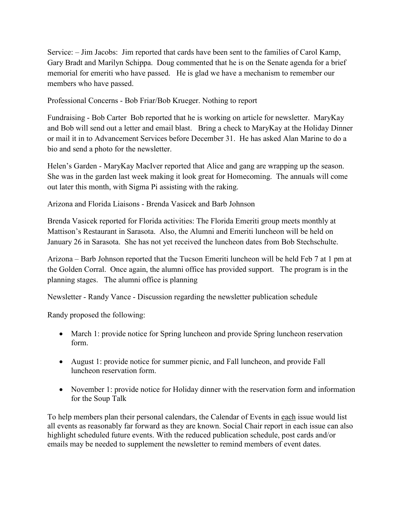Service: – Jim Jacobs: Jim reported that cards have been sent to the families of Carol Kamp, Gary Bradt and Marilyn Schippa. Doug commented that he is on the Senate agenda for a brief memorial for emeriti who have passed. He is glad we have a mechanism to remember our members who have passed.

Professional Concerns - Bob Friar/Bob Krueger. Nothing to report

Fundraising - Bob Carter Bob reported that he is working on article for newsletter. MaryKay and Bob will send out a letter and email blast. Bring a check to MaryKay at the Holiday Dinner or mail it in to Advancement Services before December 31. He has asked Alan Marine to do a bio and send a photo for the newsletter.

Helen's Garden - MaryKay MacIver reported that Alice and gang are wrapping up the season. She was in the garden last week making it look great for Homecoming. The annuals will come out later this month, with Sigma Pi assisting with the raking.

Arizona and Florida Liaisons - Brenda Vasicek and Barb Johnson

Brenda Vasicek reported for Florida activities: The Florida Emeriti group meets monthly at Mattison's Restaurant in Sarasota. Also, the Alumni and Emeriti luncheon will be held on January 26 in Sarasota. She has not yet received the luncheon dates from Bob Stechschulte.

Arizona – Barb Johnson reported that the Tucson Emeriti luncheon will be held Feb 7 at 1 pm at the Golden Corral. Once again, the alumni office has provided support. The program is in the planning stages. The alumni office is planning

Newsletter - Randy Vance - Discussion regarding the newsletter publication schedule

Randy proposed the following:

- March 1: provide notice for Spring luncheon and provide Spring luncheon reservation form.
- August 1: provide notice for summer picnic, and Fall luncheon, and provide Fall luncheon reservation form.
- November 1: provide notice for Holiday dinner with the reservation form and information for the Soup Talk

To help members plan their personal calendars, the Calendar of Events in each issue would list all events as reasonably far forward as they are known. Social Chair report in each issue can also highlight scheduled future events. With the reduced publication schedule, post cards and/or emails may be needed to supplement the newsletter to remind members of event dates.